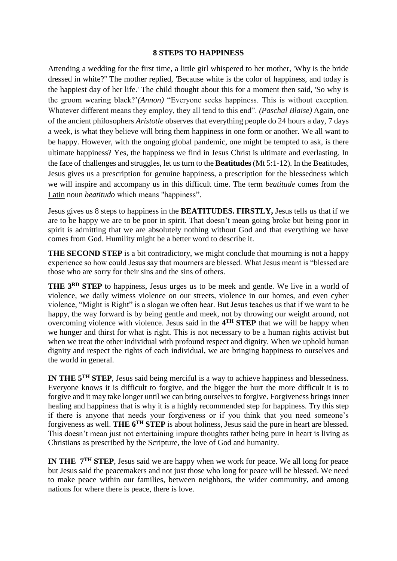## **8 STEPS TO HAPPINESS**

Attending a wedding for the first time, a little girl whispered to her mother, 'Why is the bride dressed in white?'' The mother replied, 'Because white is the color of happiness, and today is the happiest day of her life.' The child thought about this for a moment then said, 'So why is the groom wearing black?'*(Annon)* "Everyone seeks happiness. This is without exception. Whatever different means they employ, they all tend to this end". *(Paschal Blaise)* Again, one of the ancient philosophers *Aristotle* observes that everything people do 24 hours a day, 7 days a week, is what they believe will bring them happiness in one form or another. We all want to be happy. However, with the ongoing global pandemic, one might be tempted to ask, is there ultimate happiness? Yes, the happiness we find in Jesus Christ is ultimate and everlasting. In the face of challenges and struggles, let us turn to the **Beatitudes** (Mt 5:1-12). In the Beatitudes, Jesus gives us a prescription for genuine happiness, a prescription for the blessedness which we will inspire and accompany us in this difficult time. The term *beatitude* comes from the [Latin](https://en.wikipedia.org/wiki/Latin_language) noun *beatitudo* which means "happiness".

Jesus gives us 8 steps to happiness in the **BEATITUDES. FIRSTLY,** Jesus tells us that if we are to be happy we are to be poor in spirit. That doesn't mean going broke but being poor in spirit is admitting that we are absolutely nothing without God and that everything we have comes from God. Humility might be a better word to describe it.

**THE SECOND STEP** is a bit contradictory, we might conclude that mourning is not a happy experience so how could Jesus say that mourners are blessed. What Jesus meant is "blessed are those who are sorry for their sins and the sins of others.

**THE 3RD STEP** to happiness, Jesus urges us to be meek and gentle. We live in a world of violence, we daily witness violence on our streets, violence in our homes, and even cyber violence, "Might is Right" is a slogan we often hear. But Jesus teaches us that if we want to be happy, the way forward is by being gentle and meek, not by throwing our weight around, not overcoming violence with violence. Jesus said in the 4<sup>TH</sup> STEP that we will be happy when we hunger and thirst for what is right. This is not necessary to be a human rights activist but when we treat the other individual with profound respect and dignity. When we uphold human dignity and respect the rights of each individual, we are bringing happiness to ourselves and the world in general.

**IN THE 5TH STEP**, Jesus said being merciful is a way to achieve happiness and blessedness. Everyone knows it is difficult to forgive, and the bigger the hurt the more difficult it is to forgive and it may take longer until we can bring ourselves to forgive. Forgiveness brings inner healing and happiness that is why it is a highly recommended step for happiness. Try this step if there is anyone that needs your forgiveness or if you think that you need someone's forgiveness as well. **THE 6TH STEP** is about holiness, Jesus said the pure in heart are blessed. This doesn't mean just not entertaining impure thoughts rather being pure in heart is living as Christians as prescribed by the Scripture, the love of God and humanity.

**IN THE 7TH STEP**, Jesus said we are happy when we work for peace. We all long for peace but Jesus said the peacemakers and not just those who long for peace will be blessed. We need to make peace within our families, between neighbors, the wider community, and among nations for where there is peace, there is love.